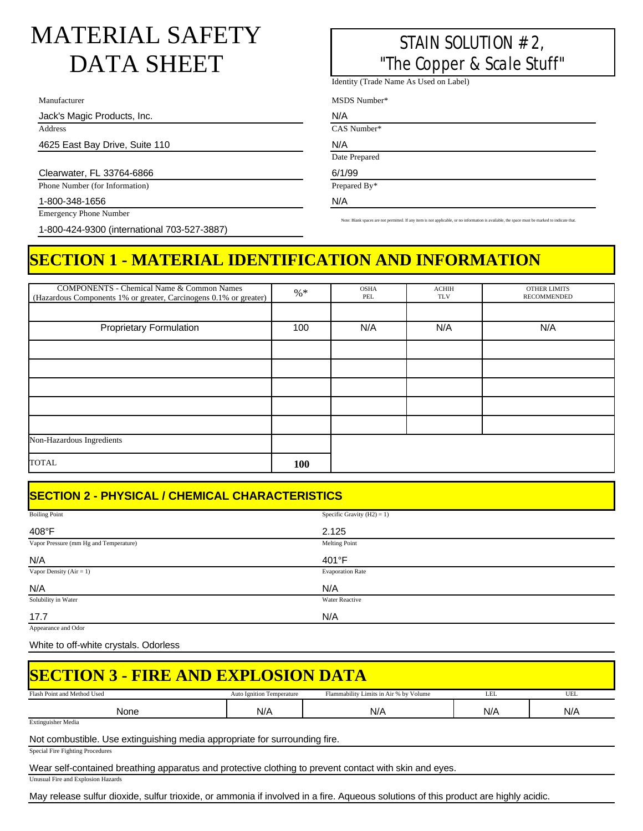## MATERIAL SAFETY DATA SHEET

Manufacturer

Jack's Magic Products, Inc.

Address

4625 East Bay Drive, Suite 110

Clearwater, FL 33764-6866

Phone Number (for Information)

1-800-348-1656

Emergency Phone Number

1-800-424-9300 (international 703-527-3887)

## STAIN SOLUTION #2, "The Copper & Scale Stuff"

Identity (Trade Name As Used on Label)

MSDS Number\*

N/A CAS Number\*

N/A

Date Prepared

6/1/99 Prepared By\*

N/A

Note: Blank spaces are not permitted. If any item is not applicable, or no information is available, the space must be marked to indicate that.

## **SECTION 1 - MATERIAL IDENTIFICATION AND INFORMATION**

| <b>COMPONENTS - Chemical Name &amp; Common Names</b>              |        | <b>OSHA</b> | <b>ACHIH</b> | <b>OTHER LIMITS</b> |
|-------------------------------------------------------------------|--------|-------------|--------------|---------------------|
| (Hazardous Components 1% or greater, Carcinogens 0.1% or greater) | $\% *$ | PEL         | <b>TLV</b>   | <b>RECOMMENDED</b>  |
|                                                                   |        |             |              |                     |
|                                                                   |        |             |              |                     |
|                                                                   |        |             |              |                     |
| <b>Proprietary Formulation</b>                                    | 100    | N/A         | N/A          | N/A                 |
|                                                                   |        |             |              |                     |
|                                                                   |        |             |              |                     |
|                                                                   |        |             |              |                     |
|                                                                   |        |             |              |                     |
|                                                                   |        |             |              |                     |
|                                                                   |        |             |              |                     |
|                                                                   |        |             |              |                     |
|                                                                   |        |             |              |                     |
|                                                                   |        |             |              |                     |
|                                                                   |        |             |              |                     |
|                                                                   |        |             |              |                     |
|                                                                   |        |             |              |                     |
|                                                                   |        |             |              |                     |
| Non-Hazardous Ingredients                                         |        |             |              |                     |
|                                                                   |        |             |              |                     |
| <b>TOTAL</b>                                                      |        |             |              |                     |
|                                                                   | 100    |             |              |                     |
|                                                                   |        |             |              |                     |

## **SECTION 2 - PHYSICAL / CHEMICAL CHARACTERISTICS**

| <b>Boiling Point</b>                   | Specific Gravity $(H2) = 1$ ) |
|----------------------------------------|-------------------------------|
|                                        |                               |
| 408°F                                  | 2.125                         |
| Vapor Pressure (mm Hg and Temperature) | <b>Melting Point</b>          |
| N/A                                    | 401°F                         |
| Vapor Density ( $Air = 1$ )            | <b>Evaporation Rate</b>       |
| N/A                                    | N/A                           |
| Solubility in Water                    | Water Reactive                |
| 17.7                                   | N/A                           |

Appearance and Odor

White to off-white crystals. Odorless

| <b>SECTION 3 - FIRE AND EXPLOSION DATA</b>                                                                                                                                                                                            |                                  |                                        |     |     |  |  |
|---------------------------------------------------------------------------------------------------------------------------------------------------------------------------------------------------------------------------------------|----------------------------------|----------------------------------------|-----|-----|--|--|
| Flash Point and Method Used                                                                                                                                                                                                           | <b>Auto Ignition Temperature</b> | Flammability Limits in Air % by Volume | LEL | UEL |  |  |
| None                                                                                                                                                                                                                                  | N/A                              | N/A                                    | N/A | N/A |  |  |
| <b>Extinguisher Media</b>                                                                                                                                                                                                             |                                  |                                        |     |     |  |  |
| Not combustible. Use extinguishing media appropriate for surrounding fire.                                                                                                                                                            |                                  |                                        |     |     |  |  |
| Special Fire Fighting Procedures                                                                                                                                                                                                      |                                  |                                        |     |     |  |  |
| $\mathbf{M}$ , and $\mathbf{M}$ , and the set of the second contract of the set of the second contract of the set of the second contract of the set of the second second second second second second second second second second seco |                                  |                                        |     |     |  |  |

Wear self-contained breathing apparatus and protective clothing to prevent contact with skin and eyes.

Unusual Fire and Explosion Hazards

May release sulfur dioxide, sulfur trioxide, or ammonia if involved in a fire. Aqueous solutions of this product are highly acidic.